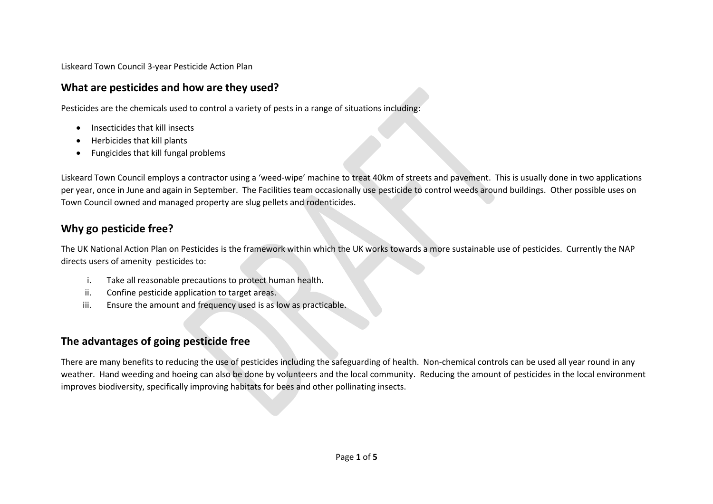Liskeard Town Council 3-year Pesticide Action Plan

## **What are pesticides and how are they used?**

Pesticides are the chemicals used to control a variety of pests in a range of situations including:

- Insecticides that kill insects
- Herbicides that kill plants
- Fungicides that kill fungal problems

Liskeard Town Council employs a contractor using a 'weed-wipe' machine to treat 40km of streets and pavement. This is usually done in two applications per year, once in June and again in September. The Facilities team occasionally use pesticide to control weeds around buildings. Other possible uses on Town Council owned and managed property are slug pellets and rodenticides.

## **Why go pesticide free?**

The UK National Action Plan on Pesticides is the framework within which the UK works towards a more sustainable use of pesticides. Currently the NAP directs users of amenity pesticides to:

- i. Take all reasonable precautions to protect human health.
- ii. Confine pesticide application to target areas.
- iii. Ensure the amount and frequency used is as low as practicable.

## **The advantages of going pesticide free**

There are many benefits to reducing the use of pesticides including the safeguarding of health. Non-chemical controls can be used all year round in any weather. Hand weeding and hoeing can also be done by volunteers and the local community. Reducing the amount of pesticides in the local environment improves biodiversity, specifically improving habitats for bees and other pollinating insects.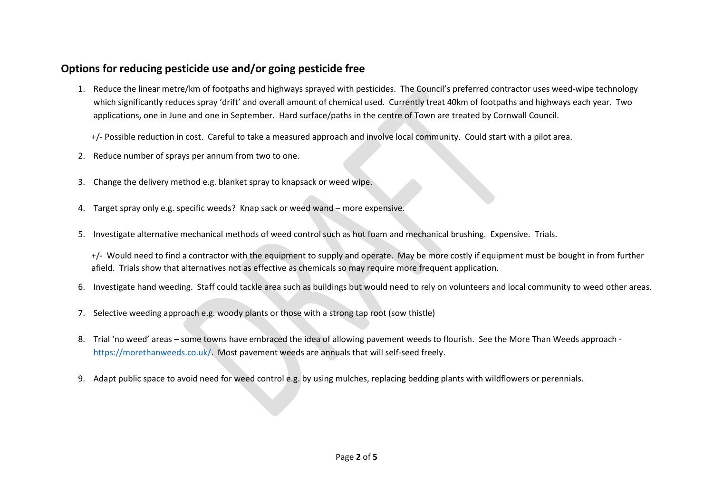## **Options for reducing pesticide use and/or going pesticide free**

1. Reduce the linear metre/km of footpaths and highways sprayed with pesticides. The Council's preferred contractor uses weed-wipe technology which significantly reduces spray 'drift' and overall amount of chemical used. Currently treat 40km of footpaths and highways each year. Two applications, one in June and one in September. Hard surface/paths in the centre of Town are treated by Cornwall Council.

+/- Possible reduction in cost. Careful to take a measured approach and involve local community. Could start with a pilot area.

- 2. Reduce number of sprays per annum from two to one.
- 3. Change the delivery method e.g. blanket spray to knapsack or weed wipe.
- 4. Target spray only e.g. specific weeds? Knap sack or weed wand more expensive.
- 5. Investigate alternative mechanical methods of weed control such as hot foam and mechanical brushing. Expensive. Trials.

+/- Would need to find a contractor with the equipment to supply and operate. May be more costly if equipment must be bought in from further afield. Trials show that alternatives not as effective as chemicals so may require more frequent application.

- 6. Investigate hand weeding. Staff could tackle area such as buildings but would need to rely on volunteers and local community to weed other areas.
- 7. Selective weeding approach e.g. woody plants or those with a strong tap root (sow thistle)
- 8. Trial 'no weed' areas some towns have embraced the idea of allowing pavement weeds to flourish. See the More Than Weeds approach [https://morethanweeds.co.uk/.](https://morethanweeds.co.uk/) Most pavement weeds are annuals that will self-seed freely.
- 9. Adapt public space to avoid need for weed control e.g. by using mulches, replacing bedding plants with wildflowers or perennials.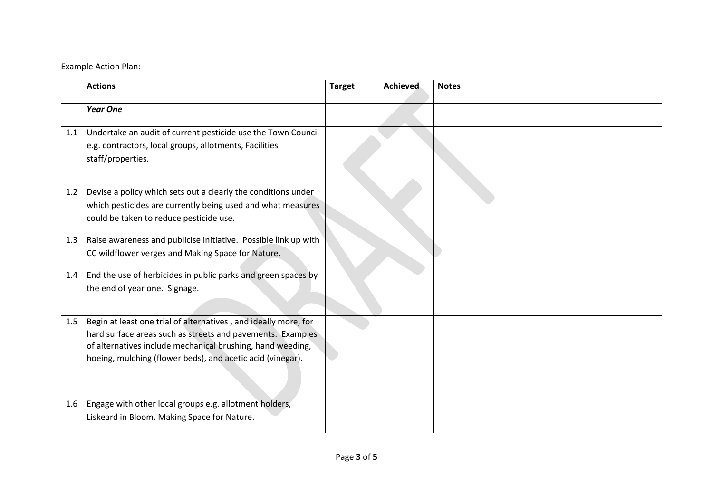Example Action Plan:

|     | <b>Actions</b>                                                                                                                                                                                                                                            | <b>Target</b> | <b>Achieved</b> | <b>Notes</b> |
|-----|-----------------------------------------------------------------------------------------------------------------------------------------------------------------------------------------------------------------------------------------------------------|---------------|-----------------|--------------|
|     | <b>Year One</b>                                                                                                                                                                                                                                           |               |                 |              |
| 1.1 | Undertake an audit of current pesticide use the Town Council<br>e.g. contractors, local groups, allotments, Facilities<br>staff/properties.                                                                                                               |               |                 |              |
| 1.2 | Devise a policy which sets out a clearly the conditions under<br>which pesticides are currently being used and what measures<br>could be taken to reduce pesticide use.                                                                                   |               |                 |              |
| 1.3 | Raise awareness and publicise initiative. Possible link up with<br>CC wildflower verges and Making Space for Nature.                                                                                                                                      |               |                 |              |
| 1.4 | End the use of herbicides in public parks and green spaces by<br>the end of year one. Signage.                                                                                                                                                            |               |                 |              |
| 1.5 | Begin at least one trial of alternatives, and ideally more, for<br>hard surface areas such as streets and pavements. Examples<br>of alternatives include mechanical brushing, hand weeding,<br>hoeing, mulching (flower beds), and acetic acid (vinegar). |               |                 |              |
| 1.6 | Engage with other local groups e.g. allotment holders,<br>Liskeard in Bloom. Making Space for Nature.                                                                                                                                                     |               |                 |              |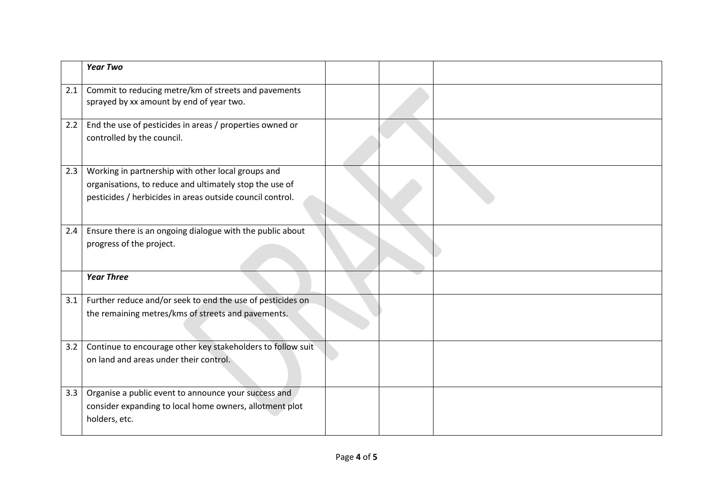|     | <b>Year Two</b>                                                                                                                                                            |  |  |
|-----|----------------------------------------------------------------------------------------------------------------------------------------------------------------------------|--|--|
| 2.1 | Commit to reducing metre/km of streets and pavements<br>sprayed by xx amount by end of year two.                                                                           |  |  |
| 2.2 | End the use of pesticides in areas / properties owned or<br>controlled by the council.                                                                                     |  |  |
| 2.3 | Working in partnership with other local groups and<br>organisations, to reduce and ultimately stop the use of<br>pesticides / herbicides in areas outside council control. |  |  |
| 2.4 | Ensure there is an ongoing dialogue with the public about<br>progress of the project.                                                                                      |  |  |
|     | <b>Year Three</b>                                                                                                                                                          |  |  |
| 3.1 | Further reduce and/or seek to end the use of pesticides on<br>the remaining metres/kms of streets and pavements.                                                           |  |  |
| 3.2 | Continue to encourage other key stakeholders to follow suit<br>on land and areas under their control.                                                                      |  |  |
| 3.3 | Organise a public event to announce your success and<br>consider expanding to local home owners, allotment plot<br>holders, etc.                                           |  |  |